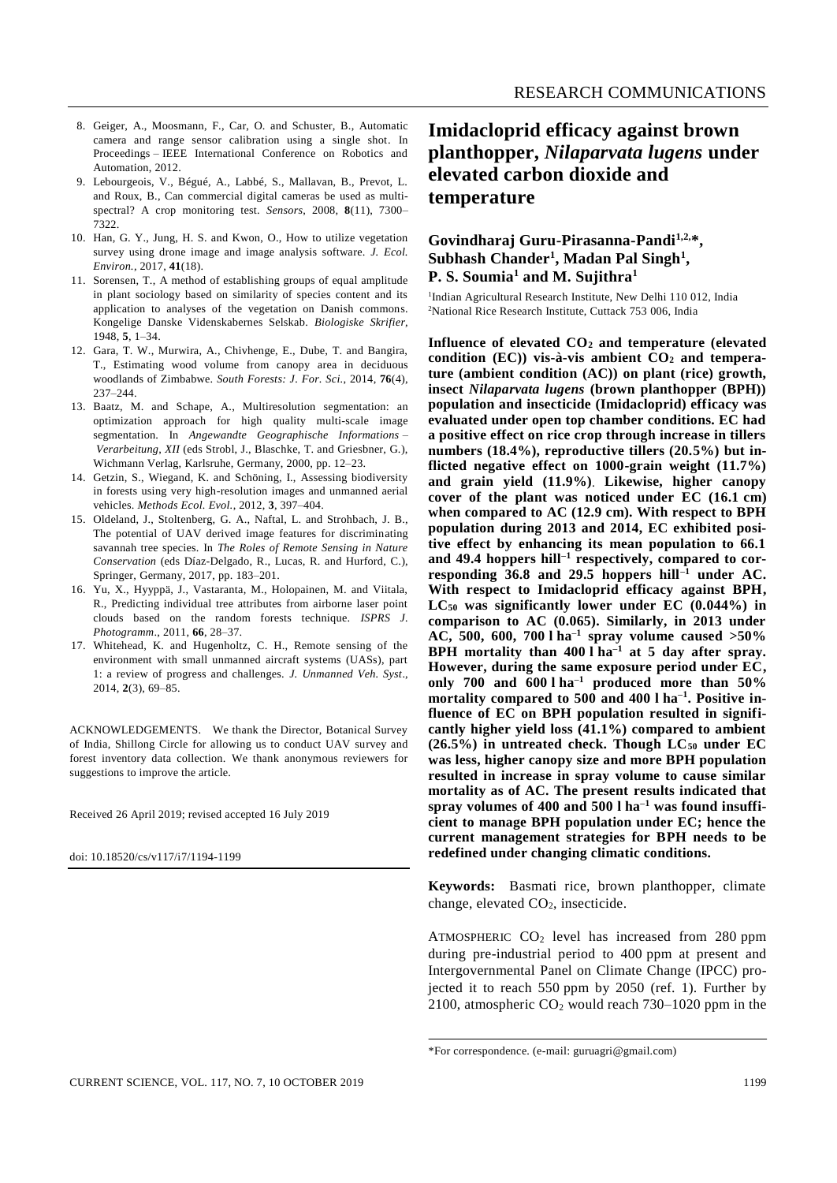- 8. Geiger, A., Moosmann, F., Car, O. and Schuster, B., Automatic camera and range sensor calibration using a single shot. In Proceedings – IEEE International Conference on Robotics and Automation, 2012.
- 9. Lebourgeois, V., Bégué, A., Labbé, S., Mallavan, B., Prevot, L. and Roux, B., Can commercial digital cameras be used as multispectral? A crop monitoring test. *Sensors*, 2008, **8**(11), 7300– 7322.
- 10. Han, G. Y., Jung, H. S. and Kwon, O., How to utilize vegetation survey using drone image and image analysis software. *J. Ecol. Environ.*, 2017, **41**(18).
- 11. Sorensen, T., A method of establishing groups of equal amplitude in plant sociology based on similarity of species content and its application to analyses of the vegetation on Danish commons. Kongelige Danske Videnskabernes Selskab. *Biologiske Skrifier*, 1948, **5**, 1–34.
- 12. Gara, T. W., Murwira, A., Chivhenge, E., Dube, T. and Bangira, T., Estimating wood volume from canopy area in deciduous woodlands of Zimbabwe. *South Forests: J. For. Sci.*, 2014, **76**(4), 237–244.
- 13. Baatz, M. and Schape, A., Multiresolution segmentation: an optimization approach for high quality multi-scale image segmentation. In *Angewandte Geographische Informations – Verarbeitung*, *XII* (eds Strobl, J., Blaschke, T. and Griesbner, G.), Wichmann Verlag, Karlsruhe, Germany, 2000, pp. 12–23.
- 14. Getzin, S., Wiegand, K. and Schöning, I., Assessing biodiversity in forests using very high-resolution images and unmanned aerial vehicles. *Methods Ecol. Evol.*, 2012, **3**, 397–404.
- 15. Oldeland, J., Stoltenberg, G. A., Naftal, L. and Strohbach, J. B., The potential of UAV derived image features for discriminating savannah tree species. In *The Roles of Remote Sensing in Nature Conservation* (eds Díaz-Delgado, R., Lucas, R. and Hurford, C.), Springer, Germany, 2017, pp. 183–201.
- 16. Yu, X., Hyyppä, J., Vastaranta, M., Holopainen, M. and Viitala, R., Predicting individual tree attributes from airborne laser point clouds based on the random forests technique. *ISPRS J. Photogramm*., 2011, **66**, 28–37.
- 17. Whitehead, K. and Hugenholtz, C. H., Remote sensing of the environment with small unmanned aircraft systems (UASs), part 1: a review of progress and challenges. *J. Unmanned Veh. Syst*., 2014, **2**(3), 69–85.

ACKNOWLEDGEMENTS. We thank the Director, Botanical Survey of India, Shillong Circle for allowing us to conduct UAV survey and forest inventory data collection. We thank anonymous reviewers for suggestions to improve the article.

Received 26 April 2019; revised accepted 16 July 2019

doi: 10.18520/cs/v117/i7/1194-1199

## **Imidacloprid efficacy against brown planthopper,** *Nilaparvata lugens* **under elevated carbon dioxide and temperature**

## **Govindharaj Guru-Pirasanna-Pandi1,2,\*, Subhash Chander<sup>1</sup> , Madan Pal Singh<sup>1</sup> , P. S. Soumia<sup>1</sup> and M. Sujithra<sup>1</sup>**

<sup>1</sup>Indian Agricultural Research Institute, New Delhi 110 012, India <sup>2</sup>National Rice Research Institute, Cuttack 753 006, India

**Influence of elevated CO<sup>2</sup> and temperature (elevated condition (EC)) vis-à-vis ambient CO<sup>2</sup> and temperature (ambient condition (AC)) on plant (rice) growth, insect** *Nilaparvata lugens* **(brown planthopper (BPH)) population and insecticide (Imidacloprid) efficacy was evaluated under open top chamber conditions. EC had a positive effect on rice crop through increase in tillers numbers (18.4%), reproductive tillers (20.5%) but inflicted negative effect on 1000-grain weight (11.7%) and grain yield (11.9%). Likewise, higher canopy cover of the plant was noticed under EC (16.1 cm) when compared to AC (12.9 cm). With respect to BPH population during 2013 and 2014, EC exhibited positive effect by enhancing its mean population to 66.1 and 49.4 hoppers hill–1 respectively, compared to corresponding 36.8 and 29.5 hoppers hill–1 under AC. With respect to Imidacloprid efficacy against BPH, LC<sup>50</sup> was significantly lower under EC (0.044%) in comparison to AC (0.065). Similarly, in 2013 under AC, 500, 600, 700 l ha–1 spray volume caused >50% BPH mortality than 400 l ha–1 at 5 day after spray. However, during the same exposure period under EC, only 700 and 600 l ha–1 produced more than 50% mortality compared to 500 and 400 l ha–1 . Positive influence of EC on BPH population resulted in significantly higher yield loss (41.1%) compared to ambient (26.5%) in untreated check. Though LC<sup>50</sup> under EC was less, higher canopy size and more BPH population resulted in increase in spray volume to cause similar mortality as of AC. The present results indicated that spray volumes of 400 and 500 l ha–1 was found insufficient to manage BPH population under EC; hence the current management strategies for BPH needs to be redefined under changing climatic conditions.**

**Keywords:** Basmati rice, brown planthopper, climate change, elevated CO2, insecticide.

ATMOSPHERIC  $CO<sub>2</sub>$  level has increased from 280 ppm during pre-industrial period to 400 ppm at present and Intergovernmental Panel on Climate Change (IPCC) projected it to reach 550 ppm by 2050 (ref. 1). Further by 2100, atmospheric  $CO<sub>2</sub>$  would reach 730–1020 ppm in the

<sup>\*</sup>For correspondence. (e-mail: guruagri@gmail.com)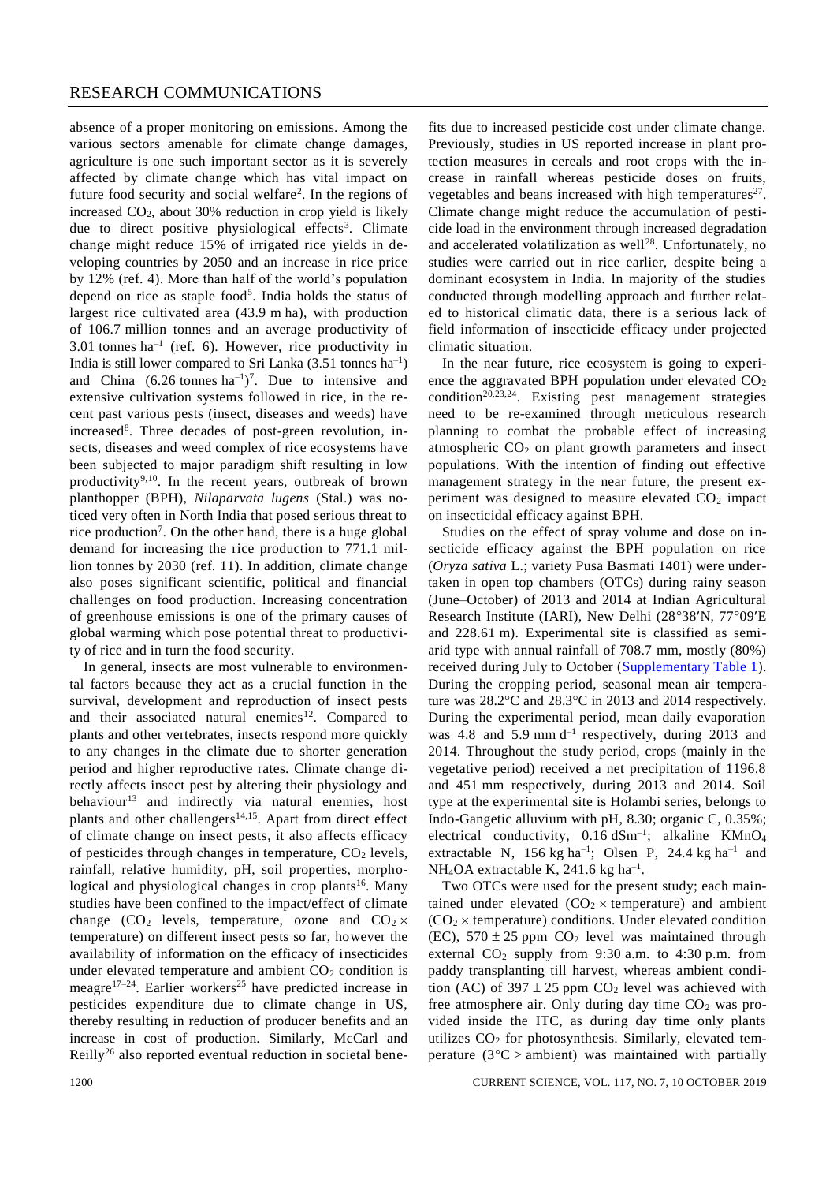absence of a proper monitoring on emissions. Among the various sectors amenable for climate change damages, agriculture is one such important sector as it is severely affected by climate change which has vital impact on future food security and social welfare<sup>2</sup>. In the regions of increased CO2, about 30% reduction in crop yield is likely due to direct positive physiological effects<sup>3</sup>. Climate change might reduce 15% of irrigated rice yields in developing countries by 2050 and an increase in rice price by 12% (ref. 4). More than half of the world's population depend on rice as staple food<sup>5</sup>. India holds the status of largest rice cultivated area (43.9 m ha), with production of 106.7 million tonnes and an average productivity of 3.01 tonnes  $ha^{-1}$  (ref. 6). However, rice productivity in India is still lower compared to Sri Lanka  $(3.51 \text{ tonnes ha}^{-1})$ and China  $(6.26 \text{ tonnes ha}^{-1})^7$ . Due to intensive and extensive cultivation systems followed in rice, in the recent past various pests (insect, diseases and weeds) have increased<sup>8</sup>. Three decades of post-green revolution, insects, diseases and weed complex of rice ecosystems have been subjected to major paradigm shift resulting in low productivity<sup>9,10</sup>. In the recent years, outbreak of brown planthopper (BPH), *Nilaparvata lugens* (Stal.) was noticed very often in North India that posed serious threat to rice production<sup>7</sup>. On the other hand, there is a huge global demand for increasing the rice production to 771.1 million tonnes by 2030 (ref. 11). In addition, climate change also poses significant scientific, political and financial challenges on food production. Increasing concentration of greenhouse emissions is one of the primary causes of global warming which pose potential threat to productivity of rice and in turn the food security.

In general, insects are most vulnerable to environmental factors because they act as a crucial function in the survival, development and reproduction of insect pests and their associated natural enemies<sup>12</sup>. Compared to plants and other vertebrates, insects respond more quickly to any changes in the climate due to shorter generation period and higher reproductive rates. Climate change directly affects insect pest by altering their physiology and behaviour<sup>13</sup> and indirectly via natural enemies, host plants and other challengers<sup>14,15</sup>. Apart from direct effect of climate change on insect pests, it also affects efficacy of pesticides through changes in temperature,  $CO<sub>2</sub>$  levels, rainfall, relative humidity, pH, soil properties, morphological and physiological changes in crop plants<sup>16</sup>. Many studies have been confined to the impact/effect of climate change (CO<sub>2</sub> levels, temperature, ozone and  $CO_2 \times$ temperature) on different insect pests so far, however the availability of information on the efficacy of insecticides under elevated temperature and ambient  $CO<sub>2</sub>$  condition is meagre<sup>17–24</sup>. Earlier workers<sup>25</sup> have predicted increase in pesticides expenditure due to climate change in US, thereby resulting in reduction of producer benefits and an increase in cost of production. Similarly, McCarl and Reilly<sup>26</sup> also reported eventual reduction in societal benefits due to increased pesticide cost under climate change. Previously, studies in US reported increase in plant protection measures in cereals and root crops with the increase in rainfall whereas pesticide doses on fruits, vegetables and beans increased with high temperatures $27$ . Climate change might reduce the accumulation of pesticide load in the environment through increased degradation and accelerated volatilization as well<sup>28</sup>. Unfortunately, no studies were carried out in rice earlier, despite being a dominant ecosystem in India. In majority of the studies conducted through modelling approach and further related to historical climatic data, there is a serious lack of field information of insecticide efficacy under projected climatic situation.

In the near future, rice ecosystem is going to experience the aggravated BPH population under elevated  $CO<sub>2</sub>$  $condition^{20,23,24}$ . Existing pest management strategies need to be re-examined through meticulous research planning to combat the probable effect of increasing atmospheric  $CO<sub>2</sub>$  on plant growth parameters and insect populations. With the intention of finding out effective management strategy in the near future, the present experiment was designed to measure elevated  $CO<sub>2</sub>$  impact on insecticidal efficacy against BPH.

Studies on the effect of spray volume and dose on insecticide efficacy against the BPH population on rice (*Oryza sativa* L.; variety Pusa Basmati 1401) were undertaken in open top chambers (OTCs) during rainy season (June–October) of 2013 and 2014 at Indian Agricultural Research Institute (IARI), New Delhi  $(28°38'N, 77°09'E)$ and 228.61 m). Experimental site is classified as semiarid type with annual rainfall of 708.7 mm, mostly (80%) received during July to October [\(Supplementary Table 1\)](https://www.currentscience.ac.in/Volumes/117/07/1199-suppl.pdf). During the cropping period, seasonal mean air temperature was  $28.2^{\circ}$ C and  $28.3^{\circ}$ C in 2013 and 2014 respectively. During the experimental period, mean daily evaporation was 4.8 and 5.9 mm  $d^{-1}$  respectively, during 2013 and 2014. Throughout the study period, crops (mainly in the vegetative period) received a net precipitation of 1196.8 and 451 mm respectively, during 2013 and 2014. Soil type at the experimental site is Holambi series, belongs to Indo-Gangetic alluvium with pH, 8.30; organic C, 0.35%; electrical conductivity,  $0.16 \text{ dSm}^{-1}$ ; alkaline KMnO<sub>4</sub> extractable N, 156 kg ha<sup>-1</sup>; Olsen P, 24.4 kg ha<sup>-1</sup> and NH<sub>4</sub>OA extractable K, 241.6 kg ha<sup>-1</sup>.

Two OTCs were used for the present study; each maintained under elevated  $(CO<sub>2</sub> \times temperature)$  and ambient  $(CO<sub>2</sub> \times temperature)$  conditions. Under elevated condition (EC),  $570 \pm 25$  ppm CO<sub>2</sub> level was maintained through external CO<sub>2</sub> supply from 9:30 a.m. to 4:30 p.m. from paddy transplanting till harvest, whereas ambient condition (AC) of 397  $\pm$  25 ppm CO<sub>2</sub> level was achieved with free atmosphere air. Only during day time  $CO<sub>2</sub>$  was provided inside the ITC, as during day time only plants utilizes  $CO<sub>2</sub>$  for photosynthesis. Similarly, elevated temperature ( $3^{\circ}$ C > ambient) was maintained with partially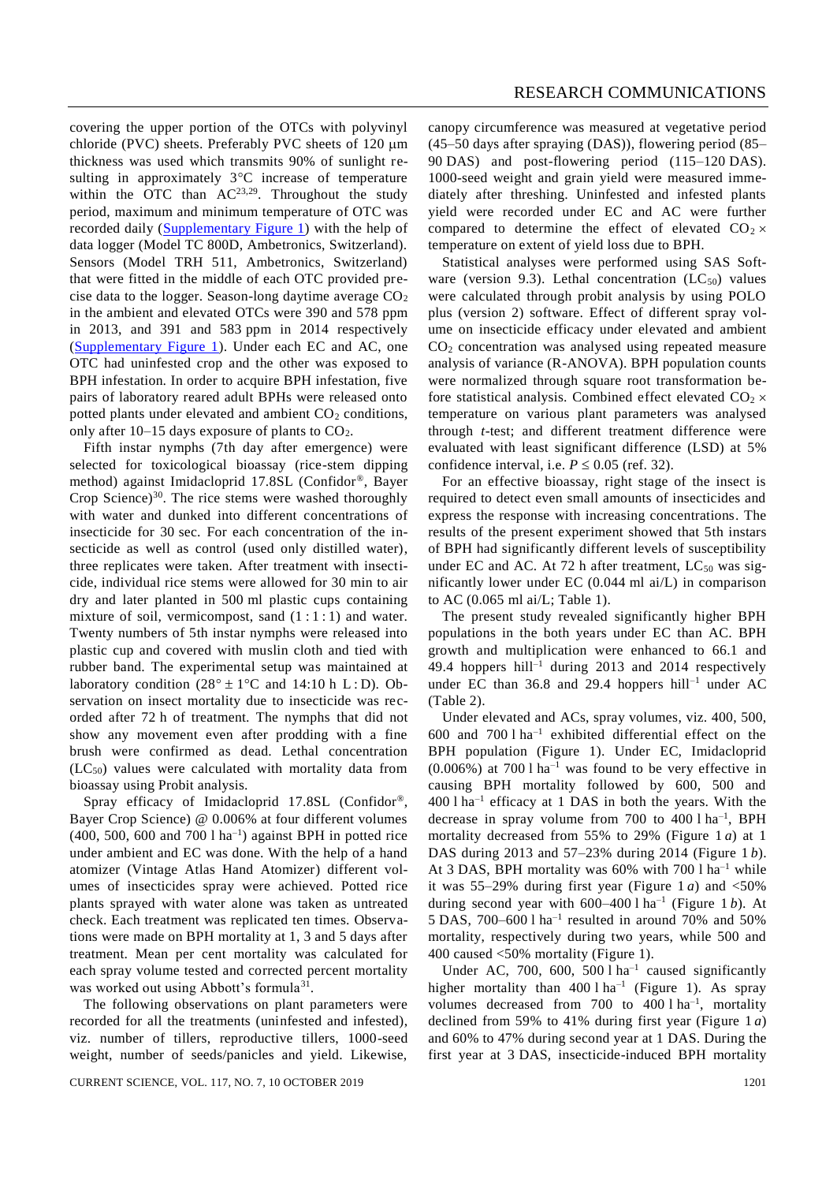covering the upper portion of the OTCs with polyvinyl chloride (PVC) sheets. Preferably PVC sheets of  $120 \mu m$ thickness was used which transmits 90% of sunlight resulting in approximately  $3^{\circ}$ C increase of temperature within the OTC than  $AC^{23,29}$ . Throughout the study period, maximum and minimum temperature of OTC was recorded daily [\(Supplementary Figure 1\)](https://www.currentscience.ac.in/Volumes/117/07/1199-suppl.pdf) with the help of data logger (Model TC 800D, Ambetronics, Switzerland). Sensors (Model TRH 511, Ambetronics, Switzerland) that were fitted in the middle of each OTC provided precise data to the logger. Season-long daytime average  $CO<sub>2</sub>$ in the ambient and elevated OTCs were 390 and 578 ppm in 2013, and 391 and 583 ppm in 2014 respectively [\(Supplementary Figure 1\)](https://www.currentscience.ac.in/Volumes/117/07/1199-suppl.pdf). Under each EC and AC, one OTC had uninfested crop and the other was exposed to BPH infestation. In order to acquire BPH infestation, five pairs of laboratory reared adult BPHs were released onto potted plants under elevated and ambient  $CO<sub>2</sub>$  conditions, only after  $10-15$  days exposure of plants to  $CO<sub>2</sub>$ .

Fifth instar nymphs (7th day after emergence) were selected for toxicological bioassay (rice-stem dipping method) against Imidacloprid 17.8SL (Confidor®, Bayer Crop Science) $30$ . The rice stems were washed thoroughly with water and dunked into different concentrations of insecticide for 30 sec. For each concentration of the insecticide as well as control (used only distilled water), three replicates were taken. After treatment with insecticide, individual rice stems were allowed for 30 min to air dry and later planted in 500 ml plastic cups containing mixture of soil, vermicompost, sand  $(1:1:1)$  and water. Twenty numbers of 5th instar nymphs were released into plastic cup and covered with muslin cloth and tied with rubber band. The experimental setup was maintained at laboratory condition  $(28^\circ \pm 1^\circ \text{C}$  and  $14:10 \text{ h L : D}$ . Observation on insect mortality due to insecticide was recorded after 72 h of treatment. The nymphs that did not show any movement even after prodding with a fine brush were confirmed as dead. Lethal concentration  $(LC_{50})$  values were calculated with mortality data from bioassay using Probit analysis.

Spray efficacy of Imidacloprid 17.8SL (Confidor®, Bayer Crop Science) @ 0.006% at four different volumes  $(400, 500, 600$  and  $700$  l ha<sup>-1</sup>) against BPH in potted rice under ambient and EC was done. With the help of a hand atomizer (Vintage Atlas Hand Atomizer) different volumes of insecticides spray were achieved. Potted rice plants sprayed with water alone was taken as untreated check. Each treatment was replicated ten times. Observations were made on BPH mortality at 1, 3 and 5 days after treatment. Mean per cent mortality was calculated for each spray volume tested and corrected percent mortality was worked out using Abbott's formula<sup>31</sup>.

The following observations on plant parameters were recorded for all the treatments (uninfested and infested), viz. number of tillers, reproductive tillers, 1000-seed weight, number of seeds/panicles and yield. Likewise,

canopy circumference was measured at vegetative period (45–50 days after spraying (DAS)), flowering period (85– 90 DAS) and post-flowering period (115–120 DAS). 1000-seed weight and grain yield were measured immediately after threshing. Uninfested and infested plants yield were recorded under EC and AC were further compared to determine the effect of elevated  $CO<sub>2</sub> \times$ temperature on extent of yield loss due to BPH.

Statistical analyses were performed using SAS Software (version 9.3). Lethal concentration  $(LC_{50})$  values were calculated through probit analysis by using POLO plus (version 2) software. Effect of different spray volume on insecticide efficacy under elevated and ambient CO<sup>2</sup> concentration was analysed using repeated measure analysis of variance (R-ANOVA). BPH population counts were normalized through square root transformation before statistical analysis. Combined effect elevated  $CO<sub>2</sub> \times$ temperature on various plant parameters was analysed through *t*-test; and different treatment difference were evaluated with least significant difference (LSD) at 5% confidence interval, i.e.  $P \le 0.05$  (ref. 32).

For an effective bioassay, right stage of the insect is required to detect even small amounts of insecticides and express the response with increasing concentrations. The results of the present experiment showed that 5th instars of BPH had significantly different levels of susceptibility under EC and AC. At 72 h after treatment,  $LC_{50}$  was significantly lower under EC (0.044 ml ai/L) in comparison to AC (0.065 ml ai/L; Table 1).

The present study revealed significantly higher BPH populations in the both years under EC than AC. BPH growth and multiplication were enhanced to 66.1 and 49.4 hoppers hill<sup>-1</sup> during 2013 and 2014 respectively under EC than 36.8 and 29.4 hoppers hill<sup>-1</sup> under AC (Table 2).

Under elevated and ACs, spray volumes, viz. 400, 500, 600 and  $700$  l ha<sup>-1</sup> exhibited differential effect on the BPH population (Figure 1). Under EC, Imidacloprid  $(0.006\%)$  at 700 l ha<sup>-1</sup> was found to be very effective in causing BPH mortality followed by 600, 500 and  $400$  l ha<sup>-1</sup> efficacy at 1 DAS in both the years. With the decrease in spray volume from 700 to 400 l ha<sup>-1</sup>, BPH mortality decreased from 55% to 29% (Figure 1 *a*) at 1 DAS during 2013 and 57–23% during 2014 (Figure 1 *b*). At 3 DAS, BPH mortality was  $60\%$  with  $700$  l ha<sup>-1</sup> while it was  $55-29\%$  during first year (Figure 1 *a*) and  $\langle 50\%$ during second year with  $600-400$  l ha<sup>-1</sup> (Figure 1*b*). At 5 DAS,  $700-600$  l ha<sup>-1</sup> resulted in around  $70\%$  and  $50\%$ mortality, respectively during two years, while 500 and 400 caused <50% mortality (Figure 1).

Under AC, 700, 600, 500  $1 \text{ ha}^{-1}$  caused significantly higher mortality than  $400 \, 1 \, \text{ha}^{-1}$  (Figure 1). As spray volumes decreased from  $700$  to  $400$  l ha<sup>-1</sup>, mortality declined from 59% to 41% during first year (Figure 1 *a*) and 60% to 47% during second year at 1 DAS. During the first year at 3 DAS, insecticide-induced BPH mortality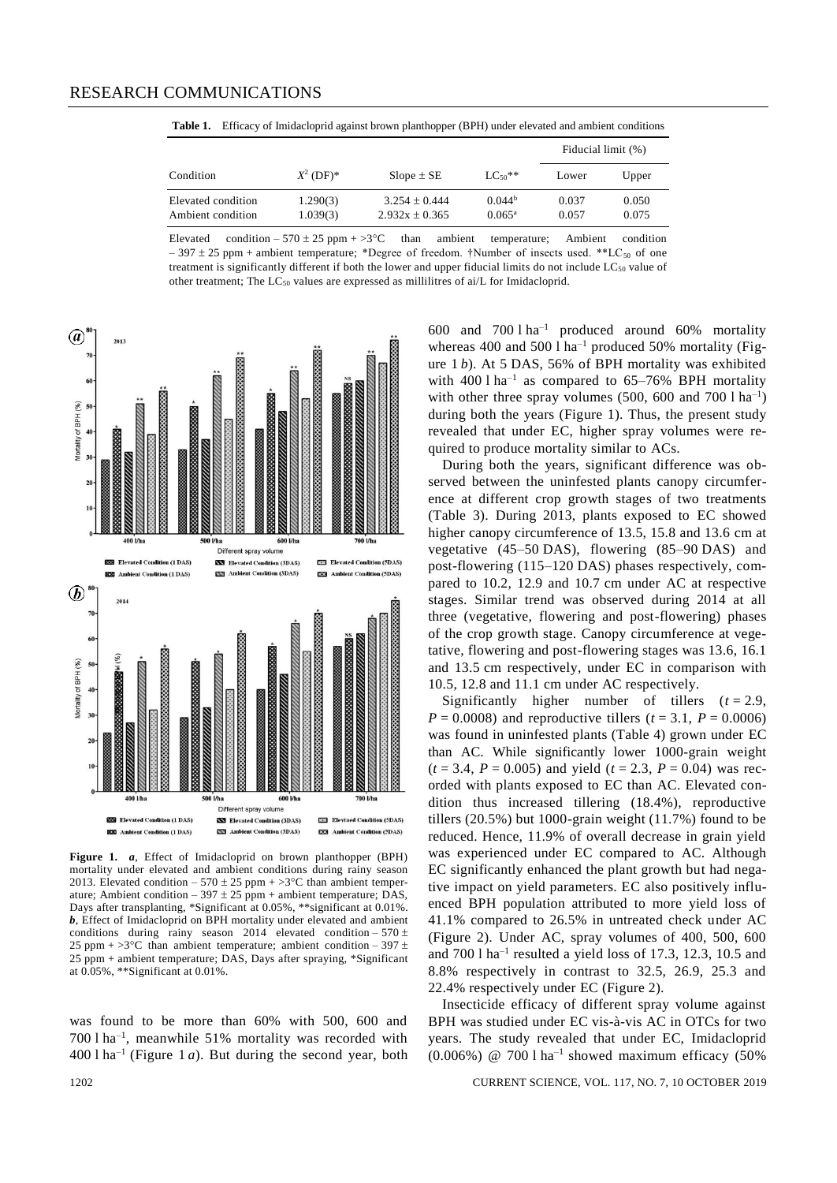**Table 1.** Efficacy of Imidacloprid against brown planthopper (BPH) under elevated and ambient conditions

|                                         |                      |                                       |                                       | Fiducial limit (%) |                |
|-----------------------------------------|----------------------|---------------------------------------|---------------------------------------|--------------------|----------------|
| Condition                               | $X^2$ (DF)*          | $Slope \pm SE$                        | $LC_{50}$ **                          | Lower              | Upper          |
| Elevated condition<br>Ambient condition | 1.290(3)<br>1.039(3) | $3.254 + 0.444$<br>$2.932x \pm 0.365$ | 0.044 <sup>b</sup><br>$0.065^{\rm a}$ | 0.037<br>0.057     | 0.050<br>0.075 |

Elevated condition – 570  $\pm$  25 ppm + >3 $\degree$ C than ambient temperature; Ambient condition  $-397 \pm 25$  ppm + ambient temperature; \*Degree of freedom. †Number of insects used. \*\*LC<sub>50</sub> of one treatment is significantly different if both the lower and upper fiducial limits do not include  $LC_{50}$  value of other treatment; The  $LC_{50}$  values are expressed as millilitres of ai/L for Imidacloprid.



**Figure 1.** *a*, Effect of Imidacloprid on brown planthopper (BPH) mortality under elevated and ambient conditions during rainy season 2013. Elevated condition – 570  $\pm$  25 ppm + >3°C than ambient temperature; Ambient condition – 397  $\pm$  25 ppm + ambient temperature; DAS, Days after transplanting, \*Significant at 0.05%, \*\*significant at 0.01%. *b*, Effect of Imidacloprid on BPH mortality under elevated and ambient conditions during rainy season 2014 elevated condition – 570  $\pm$ 25 ppm + >3 $^{\circ}$ C than ambient temperature; ambient condition – 397  $\pm$  $25$  ppm + ambient temperature; DAS, Days after spraying, \*Significant at 0.05%, \*\*Significant at 0.01%.

was found to be more than 60% with 500, 600 and 700 l ha–1 , meanwhile 51% mortality was recorded with  $400$  l ha<sup>-1</sup> (Figure 1*a*). But during the second year, both

600 and  $700 \text{ l} \text{ ha}^{-1}$  produced around 60% mortality whereas 400 and 500 l ha<sup>-1</sup> produced 50% mortality (Figure 1 *b*). At 5 DAS, 56% of BPH mortality was exhibited with  $400 \,$ 1 ha<sup>-1</sup> as compared to  $65-76\%$  BPH mortality with other three spray volumes  $(500, 600 \text{ and } 700 \text{ l} \text{ ha}^{-1})$ during both the years (Figure 1). Thus, the present study revealed that under EC, higher spray volumes were required to produce mortality similar to ACs.

During both the years, significant difference was observed between the uninfested plants canopy circumference at different crop growth stages of two treatments (Table 3). During 2013, plants exposed to EC showed higher canopy circumference of 13.5, 15.8 and 13.6 cm at vegetative (45–50 DAS), flowering (85–90 DAS) and post-flowering (115–120 DAS) phases respectively, compared to 10.2, 12.9 and 10.7 cm under AC at respective stages. Similar trend was observed during 2014 at all three (vegetative, flowering and post-flowering) phases of the crop growth stage. Canopy circumference at vegetative, flowering and post-flowering stages was 13.6, 16.1 and 13.5 cm respectively, under EC in comparison with 10.5, 12.8 and 11.1 cm under AC respectively.

Significantly higher number of tillers  $(t = 2.9$ , *P* = 0.0008) and reproductive tillers ( $t = 3.1$ , *P* = 0.0006) was found in uninfested plants (Table 4) grown under EC than AC. While significantly lower 1000-grain weight  $(t = 3.4, P = 0.005)$  and yield  $(t = 2.3, P = 0.04)$  was recorded with plants exposed to EC than AC. Elevated condition thus increased tillering (18.4%), reproductive tillers (20.5%) but 1000-grain weight (11.7%) found to be reduced. Hence, 11.9% of overall decrease in grain yield was experienced under EC compared to AC. Although EC significantly enhanced the plant growth but had negative impact on yield parameters. EC also positively influenced BPH population attributed to more yield loss of 41.1% compared to 26.5% in untreated check under AC (Figure 2). Under AC, spray volumes of 400, 500, 600 and  $700$  l ha<sup>-1</sup> resulted a yield loss of 17.3, 12.3, 10.5 and 8.8% respectively in contrast to 32.5, 26.9, 25.3 and 22.4% respectively under EC (Figure 2).

Insecticide efficacy of different spray volume against BPH was studied under EC vis-à-vis AC in OTCs for two years. The study revealed that under EC, Imidacloprid  $(0.006\%)$  @ 700 l ha<sup>-1</sup> showed maximum efficacy (50%)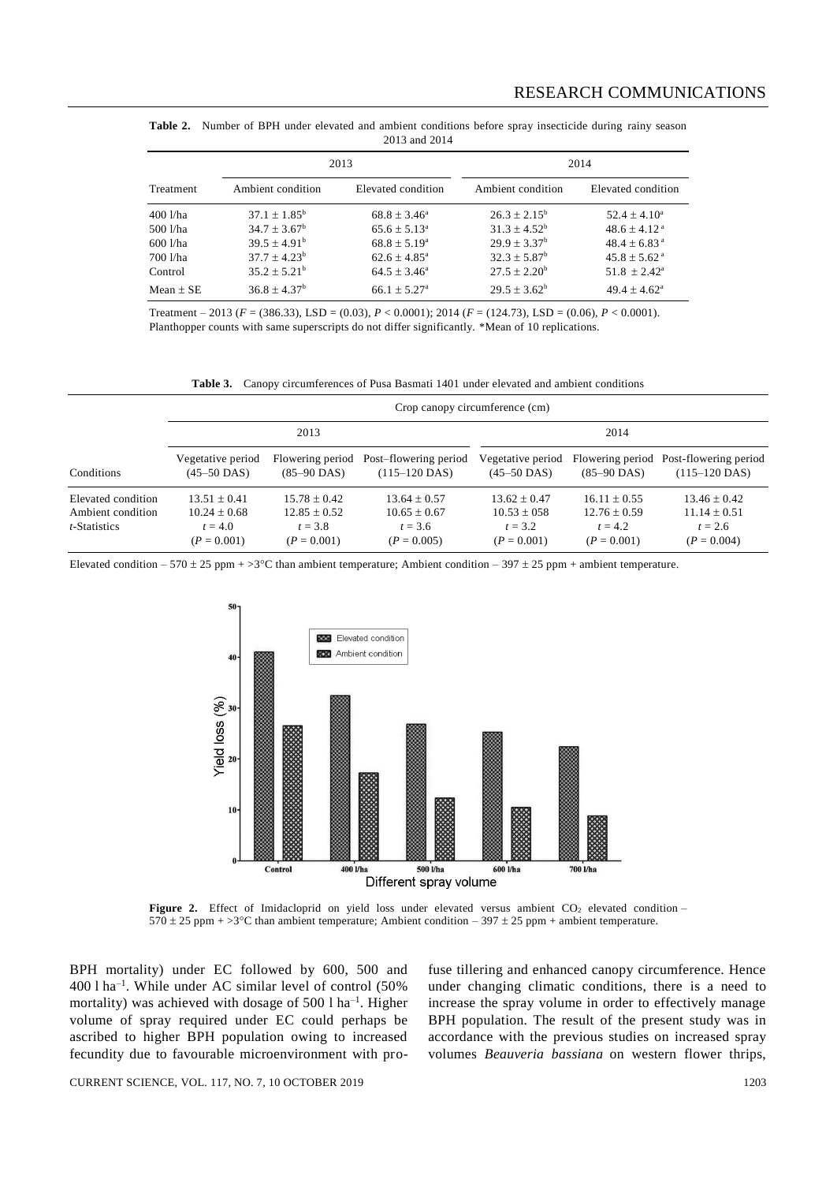| 2015 and 2014 |                         |                            |                         |                              |  |  |  |
|---------------|-------------------------|----------------------------|-------------------------|------------------------------|--|--|--|
|               |                         | 2013                       |                         | 2014                         |  |  |  |
| Treatment     | Ambient condition       | Elevated condition         | Ambient condition       | Elevated condition           |  |  |  |
| 400 l/ha      | $37.1 + 1.85^{\rm b}$   | $68.8 \pm 3.46^{\circ}$    | $26.3 + 2.15^b$         | $52.4 + 4.10^a$              |  |  |  |
| 500 l/ha      | $34.7 + 3.67^b$         | $65.6 \pm 5.13^{\circ}$    | $31.3 \pm 4.52^b$       | $48.6 \pm 4.12$ <sup>a</sup> |  |  |  |
| 600 l/ha      | $39.5 \pm 4.91^{\rm b}$ | $68.8 \pm 5.19^{\circ}$    | $29.9 + 3.37^b$         | $48.4 + 6.83$ <sup>a</sup>   |  |  |  |
| 700 l/ha      | $37.7 + 4.23^b$         | $62.6 + 4.85^{\circ}$      | $32.3 \pm 5.87^{\rm b}$ | $45.8 + 5.62$ <sup>a</sup>   |  |  |  |
| Control       | $35.2 + 5.21^b$         | $64.5 + 3.46^{\circ}$      | $27.5 \pm 2.20^{\rm b}$ | $51.8 + 2.42^a$              |  |  |  |
| $Mean + SE$   | $36.8 + 4.37b$          | $66.1 + 5.27$ <sup>a</sup> | $29.5 + 3.62^b$         | $49.4 \pm 4.62^{\circ}$      |  |  |  |

**Table 2.** Number of BPH under elevated and ambient conditions before spray insecticide during rainy season 2013 and 2014

Treatment – 2013 (*F* = (386.33), LSD = (0.03), *P* < 0.0001); 2014 (*F* = (124.73), LSD = (0.06), *P* < 0.0001). Planthopper counts with same superscripts do not differ significantly. \*Mean of 10 replications.

**Table 3.** Canopy circumferences of Pusa Basmati 1401 under elevated and ambient conditions

|                                                         |                                                                  |                                                                  |                                                                  | Crop canopy circumference (cm)                                   |                                                                  |                                                                    |
|---------------------------------------------------------|------------------------------------------------------------------|------------------------------------------------------------------|------------------------------------------------------------------|------------------------------------------------------------------|------------------------------------------------------------------|--------------------------------------------------------------------|
|                                                         |                                                                  | 2013                                                             |                                                                  |                                                                  | 2014                                                             |                                                                    |
| Conditions                                              | Vegetative period<br>$(45-50$ DAS)                               | Flowering period<br>$(85-90$ DAS)                                | Post-flowering period<br>$(115-120$ DAS)                         | Vegetative period<br>$(45-50$ DAS)                               | $(85-90$ DAS)                                                    | Flowering period Post-flowering period<br>$(115-120$ DAS)          |
| Elevated condition<br>Ambient condition<br>t-Statistics | $13.51 + 0.41$<br>$10.24 \pm 0.68$<br>$t = 4.0$<br>$(P = 0.001)$ | $15.78 + 0.42$<br>$12.85 \pm 0.52$<br>$t = 3.8$<br>$(P = 0.001)$ | $13.64 + 0.57$<br>$10.65 \pm 0.67$<br>$t = 3.6$<br>$(P = 0.005)$ | $13.62 + 0.47$<br>$10.53 \pm 0.58$<br>$t = 3.2$<br>$(P = 0.001)$ | $16.11 + 0.55$<br>$12.76 \pm 0.59$<br>$t = 4.2$<br>$(P = 0.001)$ | $13.46 \pm 0.42$<br>$11.14 \pm 0.51$<br>$t = 2.6$<br>$(P = 0.004)$ |

Elevated condition – 570 ± 25 ppm + >3°C than ambient temperature; Ambient condition – 397 ± 25 ppm + ambient temperature.



Figure 2. Effect of Imidacloprid on yield loss under elevated versus ambient CO<sub>2</sub> elevated condition -570  $\pm$  25 ppm +  $>$ 3 $\degree$ C than ambient temperature; Ambient condition – 397  $\pm$  25 ppm + ambient temperature.

BPH mortality) under EC followed by 600, 500 and 400 l ha–1 . While under AC similar level of control (50% mortality) was achieved with dosage of  $500$  l ha<sup>-1</sup>. Higher volume of spray required under EC could perhaps be ascribed to higher BPH population owing to increased fecundity due to favourable microenvironment with profuse tillering and enhanced canopy circumference. Hence under changing climatic conditions, there is a need to increase the spray volume in order to effectively manage BPH population. The result of the present study was in accordance with the previous studies on increased spray volumes *Beauveria bassiana* on western flower thrips,

CURRENT SCIENCE, VOL. 117, NO. 7, 10 OCTOBER 2019 1203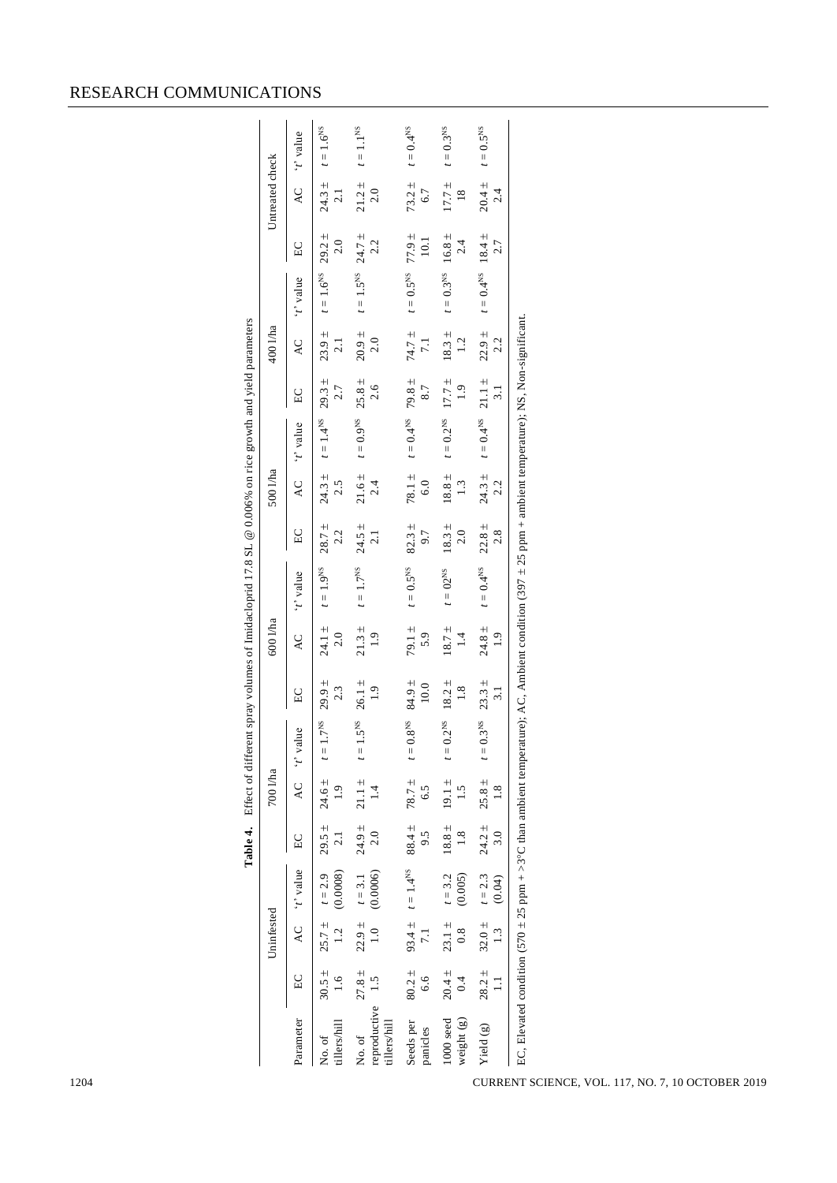| <b>RESEARCH COMMUNICATIONS</b> |  |  |
|--------------------------------|--|--|
|                                |  |  |

|                                                                                                        |                 | Parameter         | tillers/hill<br>No. of     | tillers/hill<br>No. of                            | Seeds per<br>panicles  | $1000$ seed<br>weight (g)     | Yield $(g)$                | CURRENT SCIENCE, VOL. 117, NO. 7, 10 OCTOBER 2019                                                                                                               |
|--------------------------------------------------------------------------------------------------------|-----------------|-------------------|----------------------------|---------------------------------------------------|------------------------|-------------------------------|----------------------------|-----------------------------------------------------------------------------------------------------------------------------------------------------------------|
|                                                                                                        |                 | $_{\rm EC}$       | $30.5 \pm$<br>1.6          | $27.8\,\pm$<br>1.5<br>reproductive                | $80.2 \pm$<br>6.6      | $20.4 \pm$<br>0.4             | $28.2 \pm$<br>$\Xi$        | EC, Elevated condition $(570 \pm 25$ ppm + >3°C than ambient temperature); AC, Ambient condition $(397 \pm 25$ ppm + ambient temperature); NS, Non-significant. |
|                                                                                                        | Uninfested      | $\mathsf{AC}$     | $25.7 \pm$<br>1.2          | $22.9\,\pm$<br>$\begin{array}{c} 1.0 \end{array}$ | $93.4 \pm$<br>$7.1\,$  | $23.1\pm$<br>0.8              | $32.0\,\pm$<br>1.3         |                                                                                                                                                                 |
|                                                                                                        |                 | 't' value         | (0.0008)<br>$t = 2.9$      | (0.0006)<br>$t = 3.1$                             | $t=1.4^{\rm NS}$       | (0.005)<br>$t = 3.2$          | $t = 2.3$<br>(0.04)        |                                                                                                                                                                 |
| Table 4.                                                                                               |                 | $_{\rm EC}$       | $29.5 \pm$<br>$2.1\,$      | $24.9\,\pm$<br>2.0                                | $88.4 \pm$<br>9.5      | $18.8\,\pm$<br>1.8            | $24.2 \pm$<br>3.0          |                                                                                                                                                                 |
|                                                                                                        | 700 l/ha        | $\mathsf{AC}$     | $24.6 \pm$<br>1.9          | $21.1 \pm$<br>1.4                                 | $78.7 \pm$<br>6.5      | $19.1\pm$<br>1.5              | $25.8 \pm$<br>$1.8\,$      |                                                                                                                                                                 |
|                                                                                                        |                 | $\mu$ e<br>[t, t] | $7^{NS}$<br>$\mathbf{t} =$ | $5^{NS}$<br>$t = 1$                               | $t=0.8^{\rm NS}$       | $t = 0.2$ <sup>NS</sup>       | 0.3 <sup>NS</sup><br>$t=0$ |                                                                                                                                                                 |
|                                                                                                        |                 | $_{\rm EC}$       | $29.9 \pm$<br>2.3          | $26.1 \pm$<br>1.9                                 | $84.9 \pm$<br>$10.0$   | $18.2 \pm$<br>1.8             | $23.3 \pm$<br>3.1          |                                                                                                                                                                 |
|                                                                                                        | 600 l/ha        | AC                | $24.1 \pm$<br>2.0          | $21.3~\pm$<br>1.9                                 | 79.1 ±<br>5.9          | $18.7\,\pm$<br>1.4            | $24.8 \pm$<br>1.9          |                                                                                                                                                                 |
| Effect of different spray volumes of Imidacloprid 17.8 SL @ 0.006% on rice growth and yield parameters |                 | 't' value         | $t=1.9^{\rm NS}$           | $t=1.7^{\rm NS}$                                  | $t=0.5^{\rm NS}$       | $t = 02^{NS}$                 | $t=0.4^{\rm NS}$           |                                                                                                                                                                 |
|                                                                                                        |                 | $\rm EC$          | $28.7 \pm$<br>2.2          | $24.5 \pm$<br>2.1                                 | $82.3 \pm$<br>9.7      | $18.3~\pm$<br>2.0             | $22.8 \pm$<br>2.8          |                                                                                                                                                                 |
|                                                                                                        | 500 l/ha        | AC                | $24.3 \pm$<br>2.5          | $21.6\,\pm$<br>2.4                                | 78.1 $\pm$<br>6.0      | $18.8\,\pm$<br>1.3            | $24.3 \pm$<br>2.2          |                                                                                                                                                                 |
|                                                                                                        |                 | 't' value         | $t=1.4^{\rm NS}$           | $t=0.9$ <sup>NS</sup>                             | $t=0.4^{\rm NS}$       | $t = 0.2$ <sup>NS</sup>       | $t=0.4^{\rm NS}$           |                                                                                                                                                                 |
|                                                                                                        |                 | $\rm E C$         | $29.3 \pm$<br>2.7          | $25.8\,\pm$<br>2.6                                | $79.8 \pm$<br>$8.7\,$  | $17.7 \pm$<br>1.9             | $21.1 \pm$<br>3.1          |                                                                                                                                                                 |
|                                                                                                        | 400 l/ha        | AC                | $23.9 \pm$<br>$2.1\,$      | $20.9\,\pm$<br>2.0                                | 74.7 ±<br>$7.1\,$      | $18.3 \pm$<br>1.2             | $22.9 \pm$<br>2.2          |                                                                                                                                                                 |
|                                                                                                        |                 | 't' value         | $= 1.6$ <sup>NS</sup>      | $t=1.5^{\rm NS}$                                  | $t=0.5^{\rm NS}$       | $t=0.3^{\rm NS}$              | $t=0.4^{\rm NS}$           |                                                                                                                                                                 |
|                                                                                                        |                 | $_{\rm EC}$       | $29.2 \pm$<br>$2.0\,$      | $24.7 \pm$<br>2.2                                 | $77.9 \pm$<br>$10.1\,$ | $16.8\,\pm$<br>2.4            | $18.4 \pm$<br>2.7          |                                                                                                                                                                 |
|                                                                                                        | Untreated check | $\overline{AC}$   | $24.3 \pm$<br>2.1          | $21.2 \pm$<br>$2.0\,$                             | $73.2 \pm$<br>6.7      | $17.7 \pm$<br>$\frac{18}{18}$ | $20.4 \pm$<br>2.4          |                                                                                                                                                                 |
|                                                                                                        |                 | 't' value         | $t=1.6^{\rm NS}$           | $t=1.1^{\rm NS}$                                  | $t=0.4^{\rm NS}$       | $t=0.3^{\rm NS}$              | $t=0.5^{\rm NS}$           |                                                                                                                                                                 |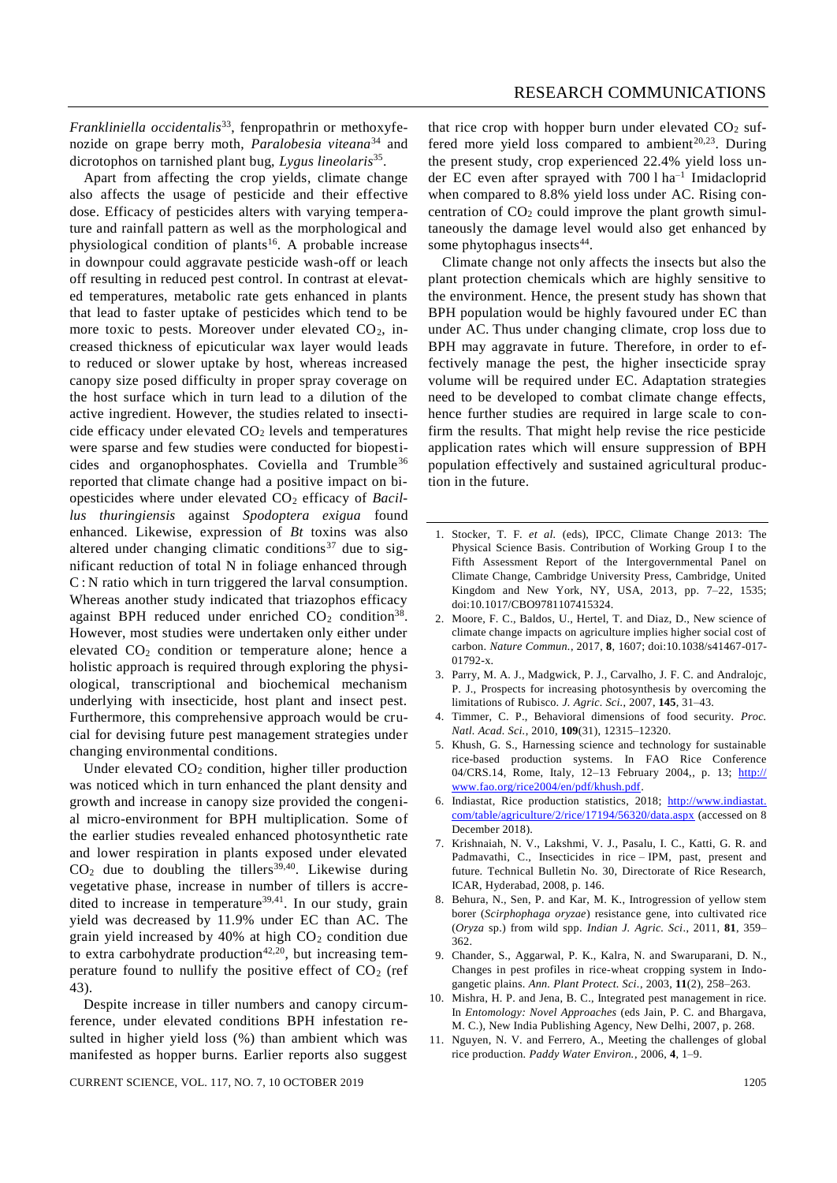*Frankliniella occidentalis*33, fenpropathrin or methoxyfenozide on grape berry moth, *Paralobesia viteana*<sup>34</sup> and dicrotophos on tarnished plant bug, *Lygus lineolaris*<sup>35</sup> .

Apart from affecting the crop yields, climate change also affects the usage of pesticide and their effective dose. Efficacy of pesticides alters with varying temperature and rainfall pattern as well as the morphological and physiological condition of plants<sup>16</sup>. A probable increase in downpour could aggravate pesticide wash-off or leach off resulting in reduced pest control. In contrast at elevated temperatures, metabolic rate gets enhanced in plants that lead to faster uptake of pesticides which tend to be more toxic to pests. Moreover under elevated  $CO<sub>2</sub>$ , increased thickness of epicuticular wax layer would leads to reduced or slower uptake by host, whereas increased canopy size posed difficulty in proper spray coverage on the host surface which in turn lead to a dilution of the active ingredient. However, the studies related to insecticide efficacy under elevated  $CO<sub>2</sub>$  levels and temperatures were sparse and few studies were conducted for biopesticides and organophosphates. Coviella and Trumble<sup>36</sup> reported that climate change had a positive impact on biopesticides where under elevated CO<sup>2</sup> efficacy of *Bacillus thuringiensis* against *Spodoptera exigua* found enhanced. Likewise, expression of *Bt* toxins was also altered under changing climatic conditions<sup>37</sup> due to significant reduction of total N in foliage enhanced through C : N ratio which in turn triggered the larval consumption. Whereas another study indicated that triazophos efficacy against BPH reduced under enriched  $CO<sub>2</sub>$  condition<sup>38</sup>. However, most studies were undertaken only either under elevated CO<sup>2</sup> condition or temperature alone; hence a holistic approach is required through exploring the physiological, transcriptional and biochemical mechanism underlying with insecticide, host plant and insect pest. Furthermore, this comprehensive approach would be crucial for devising future pest management strategies under changing environmental conditions.

Under elevated  $CO<sub>2</sub>$  condition, higher tiller production was noticed which in turn enhanced the plant density and growth and increase in canopy size provided the congenial micro-environment for BPH multiplication. Some of the earlier studies revealed enhanced photosynthetic rate and lower respiration in plants exposed under elevated  $CO<sub>2</sub>$  due to doubling the tillers<sup>39,40</sup>. Likewise during vegetative phase, increase in number of tillers is accredited to increase in temperature<sup>39,41</sup>. In our study, grain yield was decreased by 11.9% under EC than AC. The grain yield increased by 40% at high  $CO<sub>2</sub>$  condition due to extra carbohydrate production<sup>42,20</sup>, but increasing temperature found to nullify the positive effect of  $CO<sub>2</sub>$  (ref 43).

Despite increase in tiller numbers and canopy circumference, under elevated conditions BPH infestation resulted in higher yield loss (%) than ambient which was manifested as hopper burns. Earlier reports also suggest

CURRENT SCIENCE, VOL. 117, NO. 7, 10 OCTOBER 2019 1205

that rice crop with hopper burn under elevated  $CO<sub>2</sub>$  suffered more yield loss compared to ambient<sup>20,23</sup>. During the present study, crop experienced 22.4% yield loss under EC even after sprayed with 700 l ha–1 Imidacloprid when compared to 8.8% yield loss under AC. Rising concentration of  $CO<sub>2</sub>$  could improve the plant growth simultaneously the damage level would also get enhanced by some phytophagus insects<sup>44</sup>.

Climate change not only affects the insects but also the plant protection chemicals which are highly sensitive to the environment. Hence, the present study has shown that BPH population would be highly favoured under EC than under AC. Thus under changing climate, crop loss due to BPH may aggravate in future. Therefore, in order to effectively manage the pest, the higher insecticide spray volume will be required under EC. Adaptation strategies need to be developed to combat climate change effects, hence further studies are required in large scale to confirm the results. That might help revise the rice pesticide application rates which will ensure suppression of BPH population effectively and sustained agricultural production in the future.

- 1. Stocker, T. F. *et al.* (eds), IPCC, Climate Change 2013: The Physical Science Basis. Contribution of Working Group I to the Fifth Assessment Report of the Intergovernmental Panel on Climate Change, Cambridge University Press, Cambridge, United Kingdom and New York, NY, USA, 2013, pp. 7–22, 1535; doi:10.1017/CBO9781107415324.
- 2. Moore, F. C., Baldos, U., Hertel, T. and Diaz, D., New science of climate change impacts on agriculture implies higher social cost of carbon. *Nature Commun.*, 2017, **8**, 1607; doi:10.1038/s41467-017- 01792-x.
- 3. Parry, M. A. J., Madgwick, P. J., Carvalho, J. F. C. and Andralojc, P. J., Prospects for increasing photosynthesis by overcoming the limitations of Rubisco. *J. Agric. Sci.*, 2007, **145**, 31–43.
- 4. Timmer, C. P., Behavioral dimensions of food security. *Proc. Natl. Acad. Sci.*, 2010, **109**(31), 12315–12320.
- 5. Khush, G. S., Harnessing science and technology for sustainable rice-based production systems. In FAO Rice Conference 04/CRS.14, Rome, Italy, 12-13 February 2004,, p. 13; http:// www.fao.org/rice2004/en/pdf/khush.pdf.
- 6. Indiastat, Rice production statistics, 2018; http://www.indiastat. com/table/agriculture/2/rice/17194/56320/data.aspx (accessed on 8 December 2018).
- 7. Krishnaiah, N. V., Lakshmi, V. J., Pasalu, I. C., Katti, G. R. and Padmavathi, C., Insecticides in rice – IPM, past, present and future. Technical Bulletin No. 30, Directorate of Rice Research, ICAR, Hyderabad, 2008, p. 146.
- 8. Behura, N., Sen, P. and Kar, M. K., Introgression of yellow stem borer (*Scirphophaga oryzae*) resistance gene, into cultivated rice (*Oryza* sp.) from wild spp. *Indian J. Agric. Sci*., 2011, **81**, 359– 362.
- 9. Chander, S., Aggarwal, P. K., Kalra, N. and Swaruparani, D. N., Changes in pest profiles in rice-wheat cropping system in Indogangetic plains. *Ann. Plant Protect. Sci.*, 2003, **11**(2), 258–263.
- 10. Mishra, H. P. and Jena, B. C., Integrated pest management in rice. In *Entomology: Novel Approaches* (eds Jain, P. C. and Bhargava, M. C.), New India Publishing Agency, New Delhi, 2007, p. 268.
- 11. Nguyen, N. V. and Ferrero, A., Meeting the challenges of global rice production. *Paddy Water Environ.*, 2006, **4**, 1–9.